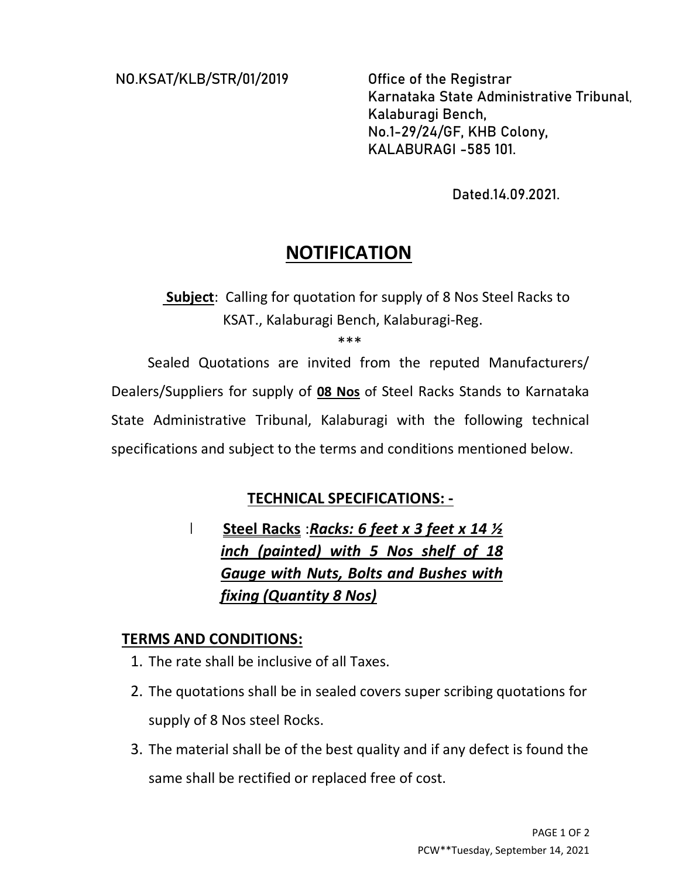NO.KSAT/KLB/STR/01/2019 Office of the Registrar

Karnataka State Administrative Tribunal, Kalaburagi Bench, No.1-29/24/GF, KHB Colony, KALABURAGI -585 101.

Dated.14.09.2021.

# **NOTIFICATION**

 Subject: Calling for quotation for supply of 8 Nos Steel Racks to KSAT., Kalaburagi Bench, Kalaburagi-Reg.

\*\*\*

Sealed Quotations are invited from the reputed Manufacturers/ Dealers/Suppliers for supply of 08 Nos of Steel Racks Stands to Karnataka State Administrative Tribunal, Kalaburagi with the following technical specifications and subject to the terms and conditions mentioned below.

### TECHNICAL SPECIFICATIONS: -

# Steel Racks: Racks: 6 feet x 3 feet x 14  $\frac{1}{2}$ inch (painted) with 5 Nos shelf of 18 Gauge with Nuts, Bolts and Bushes with fixing (Quantity 8 Nos)

#### TERMS AND CONDITIONS:

- 1. The rate shall be inclusive of all Taxes.
- 2. The quotations shall be in sealed covers super scribing quotations for supply of 8 Nos steel Rocks.
- 3. The material shall be of the best quality and if any defect is found the same shall be rectified or replaced free of cost.